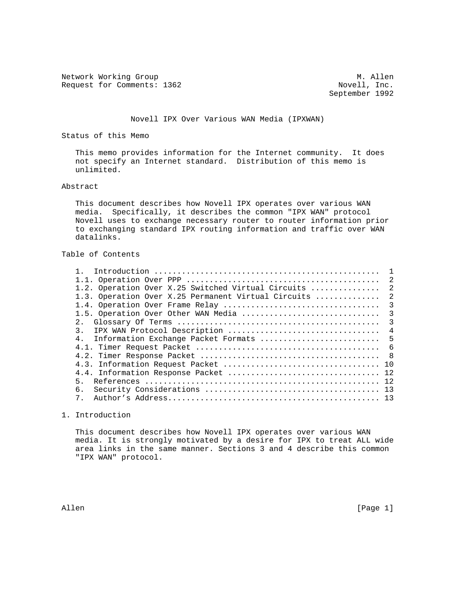Network Working Group 1999 Manual Media Manual Media Manual Manual Manual Manual Media Movell, Inc. Request for Comments: 1362

September 1992

## Novell IPX Over Various WAN Media (IPXWAN)

Status of this Memo

 This memo provides information for the Internet community. It does not specify an Internet standard. Distribution of this memo is unlimited.

### Abstract

 This document describes how Novell IPX operates over various WAN media. Specifically, it describes the common "IPX WAN" protocol Novell uses to exchange necessary router to router information prior to exchanging standard IPX routing information and traffic over WAN datalinks.

# Table of Contents

|                                                       | $\overline{2}$ |
|-------------------------------------------------------|----------------|
| 1.2. Operation Over X.25 Switched Virtual Circuits  2 |                |
| 1.3. Operation Over X.25 Permanent Virtual Circuits   | 2              |
|                                                       |                |
|                                                       |                |
|                                                       |                |
|                                                       |                |
| 4. Information Exchange Packet Formats  5             |                |
|                                                       |                |
|                                                       |                |
|                                                       |                |
|                                                       |                |
| 5.                                                    |                |
| б.                                                    |                |
| $7^{\circ}$                                           |                |

# 1. Introduction

 This document describes how Novell IPX operates over various WAN media. It is strongly motivated by a desire for IPX to treat ALL wide area links in the same manner. Sections 3 and 4 describe this common "IPX WAN" protocol.

Allen [Page 1]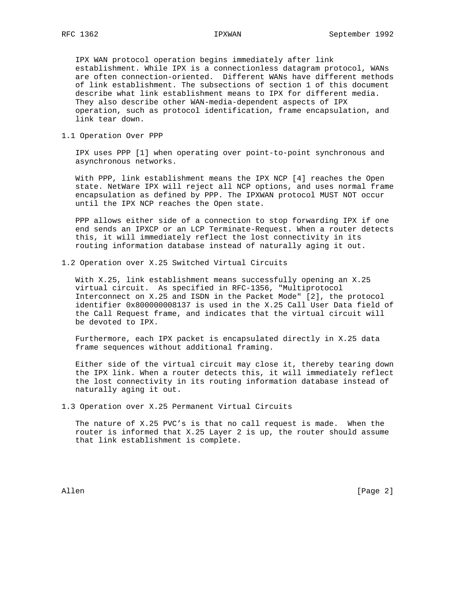IPX WAN protocol operation begins immediately after link establishment. While IPX is a connectionless datagram protocol, WANs are often connection-oriented. Different WANs have different methods of link establishment. The subsections of section 1 of this document describe what link establishment means to IPX for different media. They also describe other WAN-media-dependent aspects of IPX operation, such as protocol identification, frame encapsulation, and link tear down.

1.1 Operation Over PPP

 IPX uses PPP [1] when operating over point-to-point synchronous and asynchronous networks.

 With PPP, link establishment means the IPX NCP [4] reaches the Open state. NetWare IPX will reject all NCP options, and uses normal frame encapsulation as defined by PPP. The IPXWAN protocol MUST NOT occur until the IPX NCP reaches the Open state.

 PPP allows either side of a connection to stop forwarding IPX if one end sends an IPXCP or an LCP Terminate-Request. When a router detects this, it will immediately reflect the lost connectivity in its routing information database instead of naturally aging it out.

1.2 Operation over X.25 Switched Virtual Circuits

 With X.25, link establishment means successfully opening an X.25 virtual circuit. As specified in RFC-1356, "Multiprotocol Interconnect on X.25 and ISDN in the Packet Mode" [2], the protocol identifier 0x800000008137 is used in the X.25 Call User Data field of the Call Request frame, and indicates that the virtual circuit will be devoted to IPX.

 Furthermore, each IPX packet is encapsulated directly in X.25 data frame sequences without additional framing.

 Either side of the virtual circuit may close it, thereby tearing down the IPX link. When a router detects this, it will immediately reflect the lost connectivity in its routing information database instead of naturally aging it out.

1.3 Operation over X.25 Permanent Virtual Circuits

 The nature of X.25 PVC's is that no call request is made. When the router is informed that X.25 Layer 2 is up, the router should assume that link establishment is complete.

Allen [Page 2]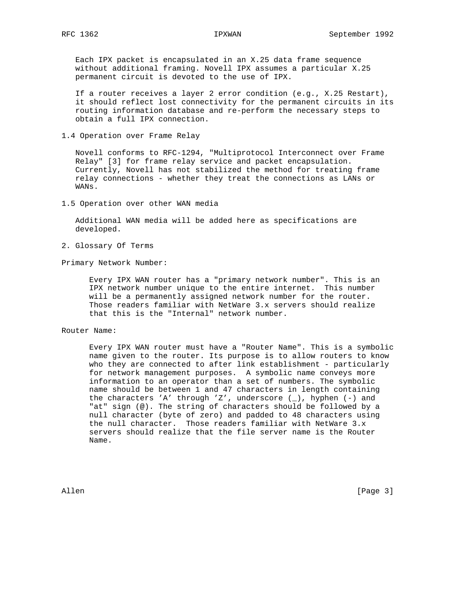Each IPX packet is encapsulated in an X.25 data frame sequence without additional framing. Novell IPX assumes a particular X.25 permanent circuit is devoted to the use of IPX.

 If a router receives a layer 2 error condition (e.g., X.25 Restart), it should reflect lost connectivity for the permanent circuits in its routing information database and re-perform the necessary steps to obtain a full IPX connection.

1.4 Operation over Frame Relay

 Novell conforms to RFC-1294, "Multiprotocol Interconnect over Frame Relay" [3] for frame relay service and packet encapsulation. Currently, Novell has not stabilized the method for treating frame relay connections - whether they treat the connections as LANs or WANs.

1.5 Operation over other WAN media

 Additional WAN media will be added here as specifications are developed.

2. Glossary Of Terms

Primary Network Number:

 Every IPX WAN router has a "primary network number". This is an IPX network number unique to the entire internet. This number will be a permanently assigned network number for the router. Those readers familiar with NetWare 3.x servers should realize that this is the "Internal" network number.

Router Name:

 Every IPX WAN router must have a "Router Name". This is a symbolic name given to the router. Its purpose is to allow routers to know who they are connected to after link establishment - particularly for network management purposes. A symbolic name conveys more information to an operator than a set of numbers. The symbolic name should be between 1 and 47 characters in length containing the characters 'A' through 'Z', underscore  $(\_)$ , hyphen  $(-)$  and "at" sign (@). The string of characters should be followed by a null character (byte of zero) and padded to 48 characters using the null character. Those readers familiar with NetWare 3.x servers should realize that the file server name is the Router Name.

Allen [Page 3]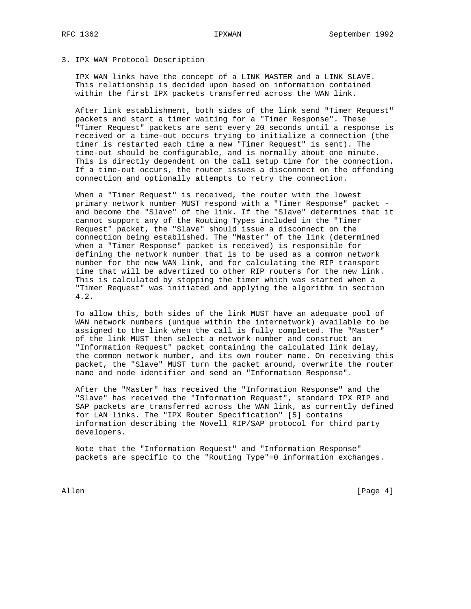## 3. IPX WAN Protocol Description

 IPX WAN links have the concept of a LINK MASTER and a LINK SLAVE. This relationship is decided upon based on information contained within the first IPX packets transferred across the WAN link.

 After link establishment, both sides of the link send "Timer Request" packets and start a timer waiting for a "Timer Response". These "Timer Request" packets are sent every 20 seconds until a response is received or a time-out occurs trying to initialize a connection (the timer is restarted each time a new "Timer Request" is sent). The time-out should be configurable, and is normally about one minute. This is directly dependent on the call setup time for the connection. If a time-out occurs, the router issues a disconnect on the offending connection and optionally attempts to retry the connection.

 When a "Timer Request" is received, the router with the lowest primary network number MUST respond with a "Timer Response" packet and become the "Slave" of the link. If the "Slave" determines that it cannot support any of the Routing Types included in the "Timer Request" packet, the "Slave" should issue a disconnect on the connection being established. The "Master" of the link (determined when a "Timer Response" packet is received) is responsible for defining the network number that is to be used as a common network number for the new WAN link, and for calculating the RIP transport time that will be advertized to other RIP routers for the new link. This is calculated by stopping the timer which was started when a "Timer Request" was initiated and applying the algorithm in section 4.2.

 To allow this, both sides of the link MUST have an adequate pool of WAN network numbers (unique within the internetwork) available to be assigned to the link when the call is fully completed. The "Master" of the link MUST then select a network number and construct an "Information Request" packet containing the calculated link delay, the common network number, and its own router name. On receiving this packet, the "Slave" MUST turn the packet around, overwrite the router name and node identifier and send an "Information Response".

 After the "Master" has received the "Information Response" and the "Slave" has received the "Information Request", standard IPX RIP and SAP packets are transferred across the WAN link, as currently defined for LAN links. The "IPX Router Specification" [5] contains information describing the Novell RIP/SAP protocol for third party developers.

 Note that the "Information Request" and "Information Response" packets are specific to the "Routing Type"=0 information exchanges.

Allen [Page 4]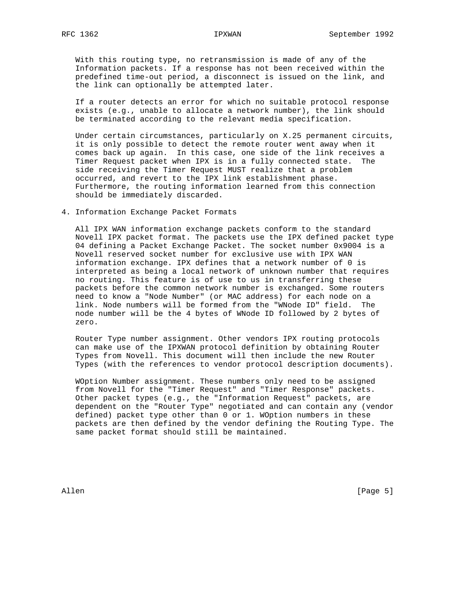With this routing type, no retransmission is made of any of the Information packets. If a response has not been received within the predefined time-out period, a disconnect is issued on the link, and the link can optionally be attempted later.

 If a router detects an error for which no suitable protocol response exists (e.g., unable to allocate a network number), the link should be terminated according to the relevant media specification.

 Under certain circumstances, particularly on X.25 permanent circuits, it is only possible to detect the remote router went away when it comes back up again. In this case, one side of the link receives a Timer Request packet when IPX is in a fully connected state. The side receiving the Timer Request MUST realize that a problem occurred, and revert to the IPX link establishment phase. Furthermore, the routing information learned from this connection should be immediately discarded.

4. Information Exchange Packet Formats

 All IPX WAN information exchange packets conform to the standard Novell IPX packet format. The packets use the IPX defined packet type 04 defining a Packet Exchange Packet. The socket number 0x9004 is a Novell reserved socket number for exclusive use with IPX WAN information exchange. IPX defines that a network number of 0 is interpreted as being a local network of unknown number that requires no routing. This feature is of use to us in transferring these packets before the common network number is exchanged. Some routers need to know a "Node Number" (or MAC address) for each node on a link. Node numbers will be formed from the "WNode ID" field. The node number will be the 4 bytes of WNode ID followed by 2 bytes of zero.

 Router Type number assignment. Other vendors IPX routing protocols can make use of the IPXWAN protocol definition by obtaining Router Types from Novell. This document will then include the new Router Types (with the references to vendor protocol description documents).

 WOption Number assignment. These numbers only need to be assigned from Novell for the "Timer Request" and "Timer Response" packets. Other packet types (e.g., the "Information Request" packets, are dependent on the "Router Type" negotiated and can contain any (vendor defined) packet type other than 0 or 1. WOption numbers in these packets are then defined by the vendor defining the Routing Type. The same packet format should still be maintained.

Allen [Page 5]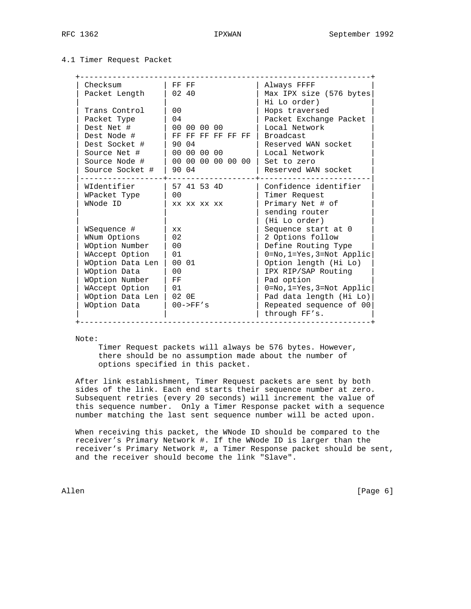### 4.1 Timer Request Packet

| Checksum         | FF FF             | Always FFFF                              |
|------------------|-------------------|------------------------------------------|
| Packet Length    | 02, 40            | Max IPX size (576 bytes<br>Hi Lo order)  |
| Trans Control    | 0 <sub>0</sub>    | Hops traversed                           |
| Packet Type      | 04                | Packet Exchange Packet                   |
| Dest Net #       | 00 00 00 00       | Local Network                            |
| Dest Node #      | FF FF FF FF FF FF | <b>Broadcast</b>                         |
| Dest Socket #    | 90 04             | Reserved WAN socket                      |
| Source Net #     | 00 00 00 00       | Local Network                            |
| Source Node #    | 00 00 00 00 00 00 | Set to zero                              |
| Source Socket #  | 90 04             | Reserved WAN socket                      |
| WIdentifier      | 57 41 53 4D       | Confidence identifier                    |
| WPacket Type     | 0 <sub>0</sub>    | Timer Request                            |
| WNode ID         | XX XX XX XX       | Primary Net # of                         |
|                  |                   | sending router                           |
|                  |                   | (Hi Lo order)                            |
| WSequence #      | XX.               | Sequence start at 0                      |
| WNum Options     | 02                | 2 Options follow                         |
| WOption Number   | 0 <sub>0</sub>    | Define Routing Type                      |
| WAccept Option   | 01                | $0 = No, 1 = Yes, 3 = Not Applic$        |
| WOption Data Len | 00 01             | Option length (Hi Lo)                    |
| WOption Data     | 0 <sub>0</sub>    | IPX RIP/SAP Routing                      |
| WOption Number   | FF                | Pad option                               |
| WAccept Option   | 01                | $0 = No, 1 = Yes, 3 = Not Applic$        |
| WOption Data Len | 02 OE             | Pad data length (Hi Lo)                  |
| WOption Data     | $00->FF's$        | Repeated sequence of 00<br>through FF's. |

Note:

 Timer Request packets will always be 576 bytes. However, there should be no assumption made about the number of options specified in this packet.

 After link establishment, Timer Request packets are sent by both sides of the link. Each end starts their sequence number at zero. Subsequent retries (every 20 seconds) will increment the value of this sequence number. Only a Timer Response packet with a sequence number matching the last sent sequence number will be acted upon.

 When receiving this packet, the WNode ID should be compared to the receiver's Primary Network #. If the WNode ID is larger than the receiver's Primary Network #, a Timer Response packet should be sent, and the receiver should become the link "Slave".

Allen [Page 6]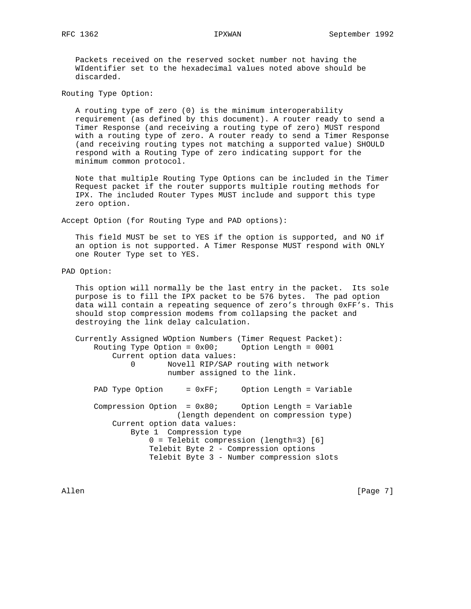Packets received on the reserved socket number not having the WIdentifier set to the hexadecimal values noted above should be discarded.

Routing Type Option:

 A routing type of zero (0) is the minimum interoperability requirement (as defined by this document). A router ready to send a Timer Response (and receiving a routing type of zero) MUST respond with a routing type of zero. A router ready to send a Timer Response (and receiving routing types not matching a supported value) SHOULD respond with a Routing Type of zero indicating support for the minimum common protocol.

 Note that multiple Routing Type Options can be included in the Timer Request packet if the router supports multiple routing methods for IPX. The included Router Types MUST include and support this type zero option.

Accept Option (for Routing Type and PAD options):

 This field MUST be set to YES if the option is supported, and NO if an option is not supported. A Timer Response MUST respond with ONLY one Router Type set to YES.

PAD Option:

 This option will normally be the last entry in the packet. Its sole purpose is to fill the IPX packet to be 576 bytes. The pad option data will contain a repeating sequence of zero's through 0xFF's. This should stop compression modems from collapsing the packet and destroying the link delay calculation.

 Currently Assigned WOption Numbers (Timer Request Packet): Routing Type Option = 0x00; Option Length = 0001 Current option data values: 0 Novell RIP/SAP routing with network number assigned to the link. PAD Type Option = 0xFF; Option Length = Variable Compression Option =  $0x80$ ; Option Length = Variable (length dependent on compression type) Current option data values: Byte 1 Compression type 0 = Telebit compression (length=3) [6] Telebit Byte 2 - Compression options Telebit Byte 3 - Number compression slots

Allen [Page 7]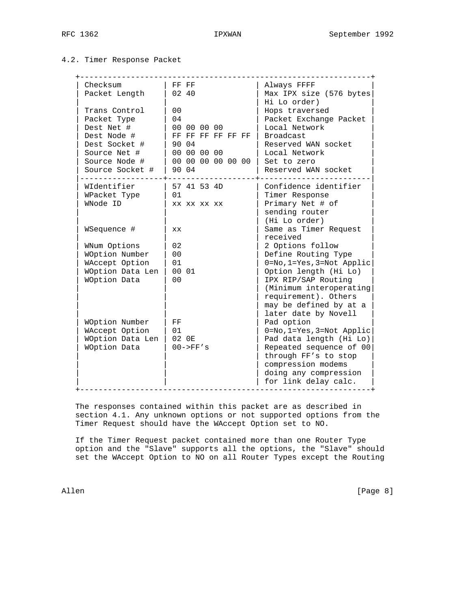## 4.2. Timer Response Packet

| Checksum         | FF FF             | Always FFFF                             |
|------------------|-------------------|-----------------------------------------|
| Packet Length    | 02 40             | Max IPX size (576 bytes<br>Hi Lo order) |
| Trans Control    | 0 <sub>0</sub>    | Hops traversed                          |
| Packet Type      | 04                | Packet Exchange Packet                  |
| Dest Net #       | 00 00 00 00       | Local Network                           |
| Dest Node #      | FF FF FF FF FF FF | Broadcast                               |
| Dest Socket #    | 90 04             | Reserved WAN socket                     |
| Source Net #     | 00 00 00 00       | Local Network                           |
| Source Node #    | 00 00 00 00 00 00 | Set to zero                             |
| Source Socket #  | 90 04             | Reserved WAN socket                     |
| WIdentifier      | 57 41 53 4D       | Confidence identifier                   |
| WPacket Type     | 01                | Timer Response                          |
| WNode ID         | XX XX XX XX       | Primary Net # of                        |
|                  |                   | sending router                          |
|                  |                   | (Hi Lo order)                           |
| WSequence #      | <b>XX</b>         | Same as Timer Request                   |
|                  |                   | received                                |
| WNum Options     | 02                | 2 Options follow                        |
| WOption Number   | 0 <sub>0</sub>    | Define Routing Type                     |
| WAccept Option   | 01                | 0=No, 1=Yes, 3=Not Applic               |
| WOption Data Len | 00 01             | Option length (Hi Lo)                   |
| WOption Data     | 0 <sub>0</sub>    | IPX RIP/SAP Routing                     |
|                  |                   | (Minimum interoperating                 |
|                  |                   | requirement). Others                    |
|                  |                   | may be defined by at a                  |
|                  |                   | later date by Novell                    |
| WOption Number   | FF                | Pad option                              |
| WAccept Option   | 01                | $0 = No, 1 = Yes, 3 = Not Applic$       |
| WOption Data Len | 02 OE             | Pad data length (Hi Lo)                 |
| WOption Data     | $00->FF's$        | Repeated sequence of 00                 |
|                  |                   | through FF's to stop                    |
|                  |                   | compression modems                      |
|                  |                   | doing any compression                   |
|                  |                   | for link delay calc.                    |

 The responses contained within this packet are as described in section 4.1. Any unknown options or not supported options from the Timer Request should have the WAccept Option set to NO.

 If the Timer Request packet contained more than one Router Type option and the "Slave" supports all the options, the "Slave" should set the WAccept Option to NO on all Router Types except the Routing

Allen [Page 8]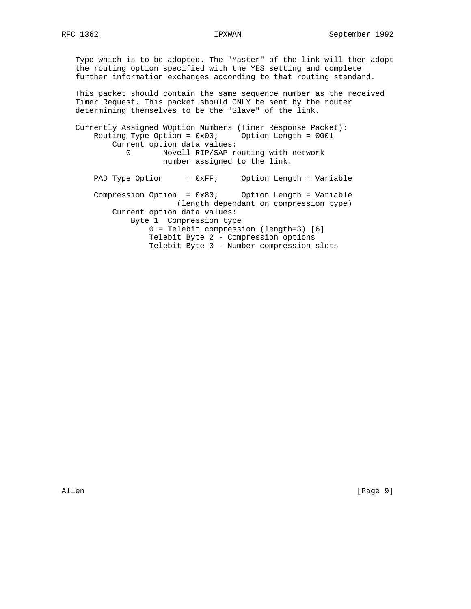Type which is to be adopted. The "Master" of the link will then adopt the routing option specified with the YES setting and complete further information exchanges according to that routing standard.

 This packet should contain the same sequence number as the received Timer Request. This packet should ONLY be sent by the router determining themselves to be the "Slave" of the link.

 Currently Assigned WOption Numbers (Timer Response Packet): Routing Type Option =  $0x00$ ; Option Length = 0001 Current option data values: 0 Novell RIP/SAP routing with network number assigned to the link.

PAD Type Option = 0xFF; Option Length = Variable Compression Option = 0x80; Option Length = Variable (length dependant on compression type) Current option data values: Byte 1 Compression type 0 = Telebit compression (length=3) [6] Telebit Byte 2 - Compression options Telebit Byte 3 - Number compression slots

Allen [Page 9]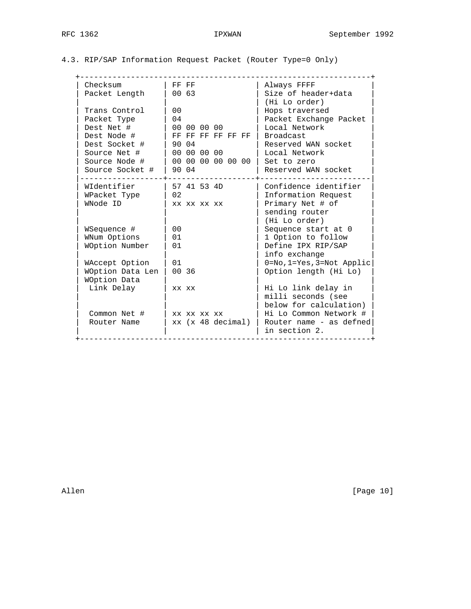|  |  | 4.3. RIP/SAP Information Request Packet (Router Type=0 Only) |  |  |  |  |  |
|--|--|--------------------------------------------------------------|--|--|--|--|--|
|--|--|--------------------------------------------------------------|--|--|--|--|--|

| Checksum<br>Packet Length | FF FF<br>00 63         | Always FFFF<br>Size of header+data<br>(Hi Lo order) |
|---------------------------|------------------------|-----------------------------------------------------|
| Trans Control             | 0 <sub>0</sub>         | Hops traversed                                      |
| Packet Type               | 04                     | Packet Exchange Packet                              |
| Dest Net #                | 00 00 00 00            | Local Network                                       |
| Dest Node #               | FF FF FF FF FF FF      | <b>Broadcast</b>                                    |
| Dest Socket #             | 90 04                  | Reserved WAN socket                                 |
| Source Net #              | 00 00 00 00            | Local Network                                       |
| Source Node #             | 00 00 00 00 00 00      | Set to zero                                         |
| Source Socket #           | 90 04                  | Reserved WAN socket                                 |
| WIdentifier               | 57 41 53 4D            | Confidence identifier                               |
| WPacket Type              | 02                     | Information Request                                 |
| WNode ID                  | XX XX XX XX            | Primary Net # of                                    |
|                           |                        | sending router                                      |
|                           |                        | (Hi Lo order)                                       |
| WSequence #               | 0 <sub>0</sub>         | Sequence start at 0                                 |
| WNum Options              | 01                     | 1 Option to follow                                  |
| WOption Number            | 01                     | Define IPX RIP/SAP                                  |
|                           |                        | info exchange                                       |
| WAccept Option            | 01                     | $0 = No, 1 = Yes, 3 = Not Application$              |
| WOption Data Len          | 00 36                  | Option length (Hi Lo)                               |
| WOption Data              |                        |                                                     |
| Link Delay                | XX XX                  | Hi Lo link delay in                                 |
|                           |                        | milli seconds (see                                  |
|                           |                        | below for calculation)                              |
| Common Net #              | xx xx xx xx            | Hi Lo Common Network #                              |
| Router Name               | $xx$ ( $x$ 48 decimal) | Router name - as defned<br>in section 2.            |

Allen [Page 10]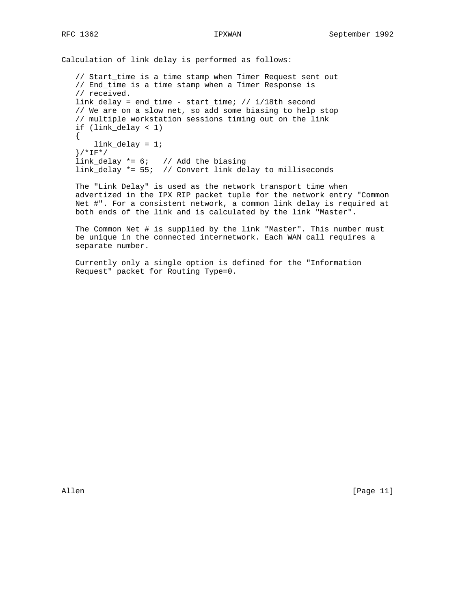Calculation of link delay is performed as follows:

 // Start\_time is a time stamp when Timer Request sent out // End\_time is a time stamp when a Timer Response is // received. link\_delay = end\_time - start\_time; // 1/18th second // We are on a slow net, so add some biasing to help stop // multiple workstation sessions timing out on the link if (link\_delay < 1) { link\_delay = 1; }/\*IF\*/ link\_delay \*= 6; // Add the biasing link\_delay \*= 55; // Convert link delay to milliseconds

 The "Link Delay" is used as the network transport time when advertized in the IPX RIP packet tuple for the network entry "Common Net #". For a consistent network, a common link delay is required at both ends of the link and is calculated by the link "Master".

 The Common Net # is supplied by the link "Master". This number must be unique in the connected internetwork. Each WAN call requires a separate number.

 Currently only a single option is defined for the "Information Request" packet for Routing Type=0.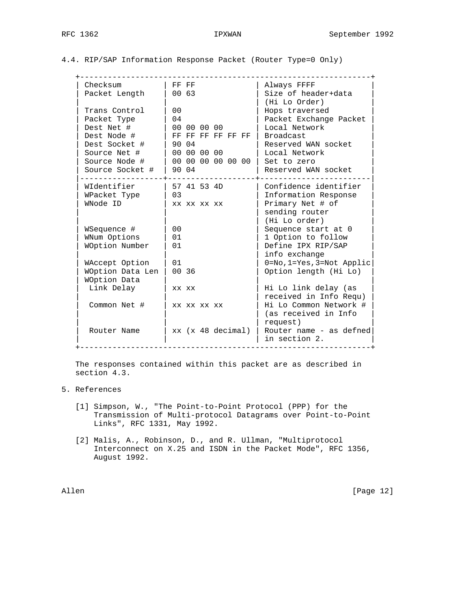|  |  | 4.4. RIP/SAP Information Response Packet (Router Type=0 Only) |  |  |  |  |  |  |
|--|--|---------------------------------------------------------------|--|--|--|--|--|--|
|--|--|---------------------------------------------------------------|--|--|--|--|--|--|

| Checksum         | FF FF                  | Always FFFF                              |
|------------------|------------------------|------------------------------------------|
| Packet Length    | 0063                   | Size of header+data                      |
|                  |                        | (Hi Lo Order)                            |
| Trans Control    | 0 <sub>0</sub>         | Hops traversed                           |
| Packet Type      | 04                     | Packet Exchange Packet                   |
| Dest Net #       | 00 00 00 00            | Local Network                            |
| Dest Node #      | FF FF FF FF FF FF      | <b>Broadcast</b>                         |
| Dest Socket #    | 90 04                  | Reserved WAN socket                      |
| Source Net #     | 00 00 00 00            | Local Network                            |
| Source Node #    | 00 00 00 00 00 00      | Set to zero                              |
| Source Socket #  | 90 04                  | Reserved WAN socket                      |
| WIdentifier      | 57 41 53 4D            | Confidence identifier                    |
| WPacket Type     | 03                     | Information Response                     |
| WNode ID         | XX XX XX XX            | Primary Net # of                         |
|                  |                        | sending router                           |
|                  |                        | (Hi Lo order)                            |
| WSequence #      | 0 <sub>0</sub>         | Sequence start at 0                      |
| WNum Options     | 01                     | 1 Option to follow                       |
| WOption Number   | 01                     | Define IPX RIP/SAP                       |
|                  |                        | info exchange                            |
| WAccept Option   | 01                     | $0 = No, 1 = Yes, 3 = Not Application$   |
| WOption Data Len | 00 36                  | Option length (Hi Lo)                    |
| WOption Data     |                        |                                          |
| Link Delay       | XX XX                  | Hi Lo link delay (as                     |
|                  |                        | received in Info Requ)                   |
| Common Net #     | XX XX XX XX            | Hi Lo Common Network #                   |
|                  |                        | (as received in Info                     |
|                  |                        | request)                                 |
| Router Name      | $xx$ ( $x$ 48 decimal) | Router name - as defned<br>in section 2. |
|                  |                        |                                          |

 The responses contained within this packet are as described in section 4.3.

- 5. References
	- [1] Simpson, W., "The Point-to-Point Protocol (PPP) for the Transmission of Multi-protocol Datagrams over Point-to-Point Links", RFC 1331, May 1992.
	- [2] Malis, A., Robinson, D., and R. Ullman, "Multiprotocol Interconnect on X.25 and ISDN in the Packet Mode", RFC 1356, August 1992.

Allen [Page 12]